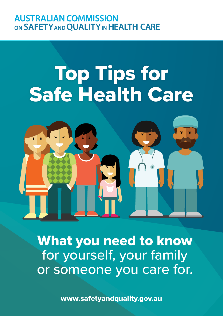# **AUSTRALIAN COMMISSION** ON SAFETY AND QUALITY IN HEALTH CARE

# Top Tips for Safe Health Care



What you need to know for yourself, your family or someone you care for.

[www.safetyandquality.gov.au](http://www.safetyandquality.gov.au)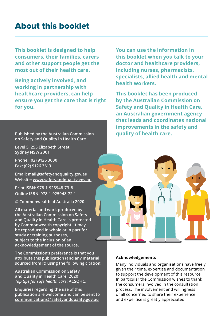# About this booklet

**This booklet is designed to help consumers, their families, carers and other support people get the most out of their health care.** 

**Being actively involved, and working in partnership with healthcare providers, can help ensure you get the care that is right for you.**

**Published by the Australian Commission on Safety and Quality in Health Care**

**Level 5, 255 Elizabeth Street, Sydney NSW 2001**

**Phone: (02) 9126 3600 Fax: (02) 9126 3613**

**Email: [mail@safetyandquality.gov.au](mailto:mail%40safetyandquality.gov.au?subject=) Website: [www.safetyandquality.gov.au](http://www.safetyandquality.gov.au)**

**Print ISBN: 978-1-925948-73-8 Online ISBN: 978-1-925948-72-1**

**© Commonwealth of Australia 2020**

**All material and work produced by the Australian Commission on Safety and Quality in Health Care is protected by Commonwealth copyright. It may be reproduced in whole or in part for study or training purposes, subject to the inclusion of an acknowledgement of the source.**

**The Commission's preference is that you attribute this publication (and any material sourced from it) using the following citation:** 

**Australian Commission on Safety and Quality in Health Care (2020)**  *Top tips for safe health care***; ACSQHC.**

**Enquiries regarding the use of this publication are welcome and can be sent to [communications@safetyandquality.gov.au](mailto:communications%40safetyandquality.gov.au?subject=)**

**You can use the information in this booklet when you talk to your doctor and healthcare providers, including nurses, pharmacists, specialists, allied health and mental health workers.**

**This booklet has been produced by the Australian Commission on Safety and Quality in Health Care, an Australian government agency that leads and coordinates national improvements in the safety and quality of health care.**



#### **Acknowledgements**

Many individuals and organisations have freely given their time, expertise and documentation to support the development of this resource. In particular the Commission wishes to thank the consumers involved in the consultation process. The involvement and willingness of all concerned to share their experience and expertise is greatly appreciated.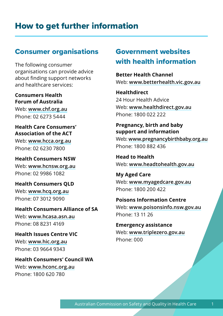# How to get further information

#### Consumer organisations

The following consumer organisations can provide advice about finding support networks and healthcare services:

**Consumers Health Forum of Australia**

Web: **[www.chf.org.au](http://www.chf.org.au)** Phone: 02 6273 5444

**Health Care Consumers' Association of the ACT** 

Web: **[www.hcca.org.au](http://www.hcca.org.au)** Phone: 02 6230 7800

**Health Consumers NSW** Web: **[www.hcnsw.org.au](http://www.Hcnsw.org.au)** Phone: 02 9986 1082

**Health Consumers QLD**  Web: **[www.hcq.org.au](http://www.hcq.org.au)** Phone: 07 3012 9090

**Health Consumers Alliance of SA**  Web: **[www.hcasa.asn.au](http://www.hcasa.asn.au)** Phone: 08 8231 4169

**Health Issues Centre VIC** Web: **[www.hic.org.au](https://www.hic.org.au)** Phone: 03 9664 9343

**Health Consumers' Council WA**  Web: **[www.hconc.org.au](http://www.hconc.org.au)** Phone: 1800 620 780

### Government websites with health information

**Better Health Channel** Web: **[www.betterhealth.vic.gov.au](http://www.betterhealth.vic.gov.au)**

**Healthdirect** 24 Hour Health Advice Web: **[www.healthdirect.gov.au](http://www.healthdirect.gov.au)** Phone: 1800 022 222

**Pregnancy, birth and baby support and information**  Web: **[www.pregnancybirthbaby.org.au](http://www.pregnancybirthbaby.org.au)** Phone: 1800 882 436

**Head to Health**  Web: **[www.headtohealth.gov.au](https://www.headtohealth.gov.au)**

**My Aged Care**  Web: **[www.myagedcare.gov.au](http://www.myagedcare.gov.au)** Phone: 1800 200 422

**Poisons Information Centre**  Web: **[www.poisonsinfo.nsw.gov.au](http://www.poisonsinfo.nsw.gov.au)** Phone: 13 11 26

**Emergency assistance**  Web: **[www.triplezero.gov.au](http://www.triplezero.gov.au)** Phone: 000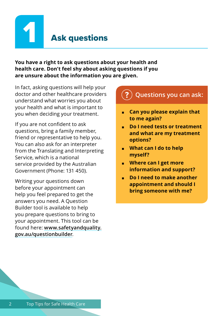

**You have a right to ask questions about your health and health care. Don't feel shy about asking questions if you are unsure about the information you are given.** 

In fact, asking questions will help your doctor and other healthcare providers understand what worries you about your health and what is important to you when deciding your treatment.

If you are not confident to ask questions, bring a family member, friend or representative to help you. You can also ask for an interpreter from the Translating and Interpreting Service, which is a national service provided by the Australian Government (Phone: 131 450).

Writing your questions down before your appointment can help you feel prepared to get the answers you need. A Question Builder tool is available to help you prepare questions to bring to your appointment. This tool can be found here: **[www.safetyandquality.](www.safetyandquality.gov.au/questionbuilder) [gov.au/questionbuilder](www.safetyandquality.gov.au/questionbuilder)**.

### **? Questions you can ask:**

- **Can you please explain that to me again?**
- **Do I need tests or treatment and what are my treatment options?**
- **What can I do to help myself?**
- **Where can I get more information and support?**
- **Do I need to make another appointment and should I bring someone with me?**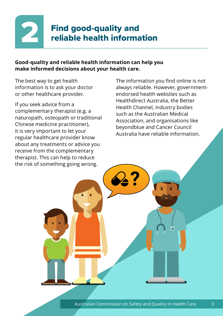

#### **Good-quality and reliable health information can help you make informed decisions about your health care.**

The best way to get health information is to ask your doctor or other healthcare provider.

If you seek advice from a complementary therapist (e.g. a naturopath, osteopath or traditional Chinese medicine practitioner), it is very important to let your regular healthcare provider know about any treatments or advice you receive from the complementary therapist. This can help to reduce the risk of something going wrong.

The information you find online is not always reliable. However, governmentendorsed health websites such as Healthdirect Australia, the Better Health Channel, industry bodies such as the Australian Medical Association, and organisations like beyondblue and Cancer Council Australia have reliable information.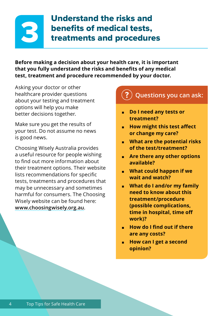# 3

# Understand the risks and benefits of medical tests, treatments and procedures

**Before making a decision about your health care, it is important that you fully understand the risks and benefits of any medical test, treatment and procedure recommended by your doctor.** 

Asking your doctor or other healthcare provider questions about your testing and treatment options will help you make better decisions together.

Make sure you get the results of your test. Do not assume no news is good news.

Choosing Wisely Australia provides a useful resource for people wishing to find out more information about their treatment options. Their website lists recommendations for specific tests, treatments and procedures that may be unnecessary and sometimes harmful for consumers. The Choosing Wisely website can be found here: **[www.choosingwisely.org.au](http://www.choosingwisely.org.au)**.

## **? Questions you can ask:** ■ **Do I need any tests or treatment?**  ■ **How might this test affect or change my care?** ■ **What are the potential risks of the test/treatment?** ■ **Are there any other options available?** ■ **What could happen if we wait and watch?** ■ **What do I and/or my family**

- **need to know about this treatment/procedure (possible complications, time in hospital, time off work)?**
- **How do I find out if there are any costs?**
- **How can I get a second opinion?**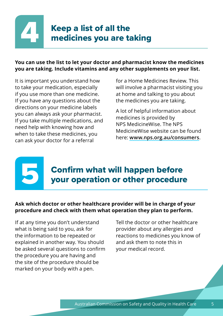# Keep a list of all the<br>medicines you are ta medicines you are taking

#### **You can use the list to let your doctor and pharmacist know the medicines you are taking. Include vitamins and any other supplements on your list.**

It is important you understand how to take your medication, especially if you use more than one medicine. If you have any questions about the directions on your medicine labels you can always ask your pharmacist. If you take multiple medications, and need help with knowing how and when to take these medicines, you can ask your doctor for a referral

5

for a Home Medicines Review. This will involve a pharmacist visiting you at home and talking to you about the medicines you are taking.

A lot of helpful information about medicines is provided by NPS MedicineWise. The NPS MedicineWise website can be found here: **[www.nps.org.au/consumers](https://www.nps.org.au/consumers)**.

# Confirm what will happen before your operation or other procedure

#### **Ask which doctor or other healthcare provider will be in charge of your procedure and check with them what operation they plan to perform.**

If at any time you don't understand what is being said to you, ask for the information to be repeated or explained in another way. You should be asked several questions to confirm the procedure you are having and the site of the procedure should be marked on your body with a pen.

Tell the doctor or other healthcare provider about any allergies and reactions to medicines you know of and ask them to note this in your medical record.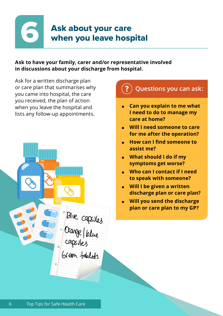

# Ask about your care when you leave hospital

#### **Ask to have your family, carer and/or representative involved in discussions about your discharge from hospital.**

Ask for a written discharge plan or care plan that summarises why you came into hospital, the care you received, the plan of action when you leave the hospital and lists any follow-up appointments.



# **? Questions you can ask: Can you explain to me what I need to do to manage my care at home?** ■ **Will I need someone to care for me after the operation?**  ■ **How can I find someone to assist me?** ■ **What should I do if my symptoms get worse?** ■ **Who can I contact if I need to speak with someone?** ■ **Will I be given a written discharge plan or care plan?**  ■ **Will you send the discharge plan or care plan to my GP?**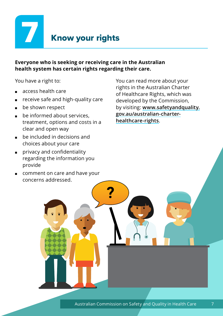

# **Know your rights**

#### **Everyone who is seeking or receiving care in the Australian health system has certain rights regarding their care.**

You have a right to:

- access health care
- receive safe and high-quality care
- be shown respect
- be informed about services. treatment, options and costs in a clear and open way
- be included in decisions and choices about your care
- privacy and confidentiality regarding the information you provide
- comment on care and have your concerns addressed.

You can read more about your rights in the Australian Charter of Healthcare Rights, which was developed by the Commission, by visiting: **[www.safetyandquality.](http://www.safetyandquality.gov.au/australian-charter-healthcare-rights) [gov.au/australian-charter](http://www.safetyandquality.gov.au/australian-charter-healthcare-rights)[healthcare-rights](http://www.safetyandquality.gov.au/australian-charter-healthcare-rights)**.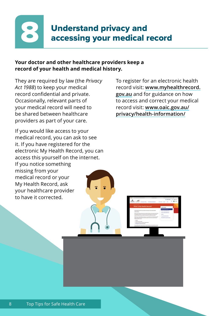

#### **Your doctor and other healthcare providers keep a record of your health and medical history.**

They are required by law (the *Privacy Act 1988*) to keep your medical record confidential and private. Occasionally, relevant parts of your medical record will need to be shared between healthcare providers as part of your care.

If you would like access to your medical record, you can ask to see it. If you have registered for the electronic My Health Record, you can access this yourself on the internet. If you notice something missing from your medical record or your My Health Record, ask your healthcare provider to have it corrected.

To register for an electronic health record visit: **[www.myhealthrecord.](www.myhealthrecord.gov.au) [gov.au](www.myhealthrecord.gov.au)** and for guidance on how to access and correct your medical record visit: **[www.oaic.gov.au/](https://www.oaic.gov.au/privacy/health-information/) [privacy/health-information/](https://www.oaic.gov.au/privacy/health-information/)**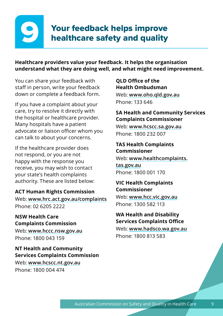# 9

# Your feedback helps improve healthcare safety and quality

**Healthcare providers value your feedback. It helps the organisation understand what they are doing well, and what might need improvement.** 

You can share your feedback with staff in person, write your feedback down or complete a feedback form.

If you have a complaint about your care, try to resolve it directly with the hospital or healthcare provider. Many hospitals have a patient advocate or liaison officer whom you can talk to about your concerns.

If the healthcare provider does not respond, or you are not happy with the response you receive, you may wish to contact your state's health complaints authority. These are listed below:

#### **ACT Human Rights Commission**

Web: **<www.hrc.act.gov.au/complaints>** Phone: 02 6205 2222

**NSW Health Care Complaints Commission**

Web: **[www.hccc.nsw.gov.au](http://www.hccc.nsw.gov.au)** Phone: 1800 043 159

**NT Health and Community Services Complaints Commission** Web: **[www.hcscc.nt.gov.au](http://www.hcscc.nt.gov.au)** Phone: 1800 004 474

#### **QLD Office of the Health Ombudsman**

Web: **[www.oho.qld.gov.au](http://www.oho.qld.gov.au)** Phone: 133 646

#### **SA Health and Community Services Complaints Commissioner**

Web: **[www.hcscc.sa.gov.au](http://www.hcscc.sa.gov.au)** Phone: 1800 232 007

#### **TAS Health Complaints Commissioner**

Web: **[www.healthcomplaints.](http://www.healthcomplaints.tas.gov.au) [tas.gov.au](http://www.healthcomplaints.tas.gov.au)** Phone: 1800 001 170

**VIC Health Complaints Commissioner** Web: **[www.hcc.vic.gov.au](http://www.hcc.vic.gov.au)** Phone: 1300 582 113

**WA Health and Disability Services Complaints Office** Web: **[www.hadsco.wa.gov.au](http://www.hadsco.wa.gov.au)** Phone: 1800 813 583